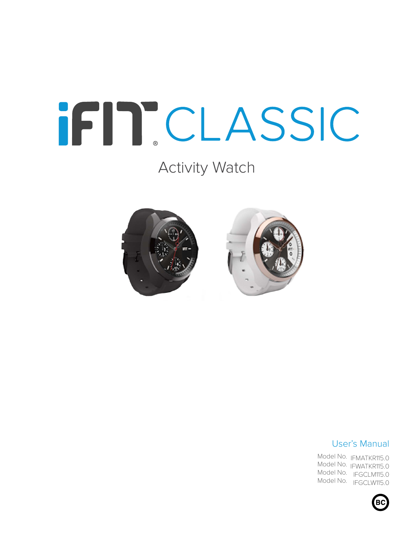# IFITCLASSIC

## Activity Watch





#### User's Manual

Model No. IFMATKR115.0 Model No. <sub>IFWATKR115.0</sub> Model No. IFGCLM115.0 Model No. IFGCLW115.0

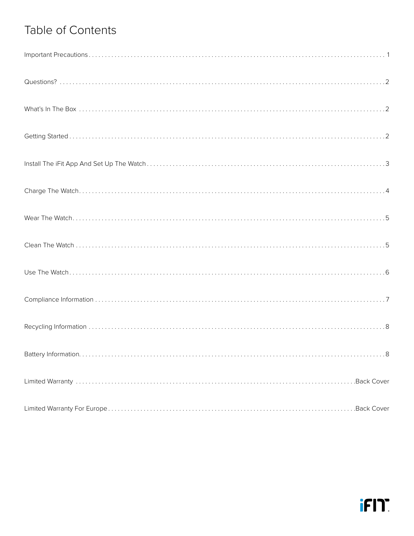## Table of Contents

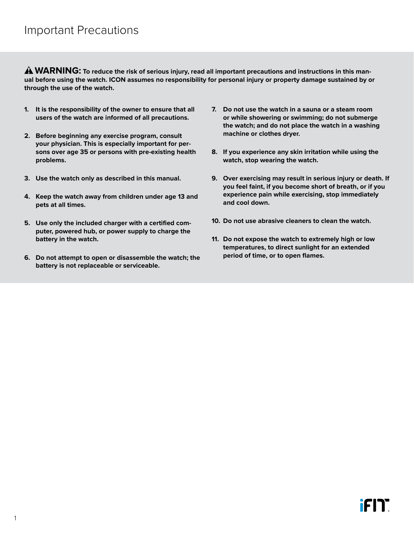<span id="page-2-0"></span>A WARNING: To reduce the risk of serious injury, read all important precautions and instructions in this man**ual before using the watch. ICON assumes no responsibility for personal injury or property damage sustained by or through the use of the watch.**

- **1. It is the responsibility of the owner to ensure that all users of the watch are informed of all precautions.**
- **2. Before beginning any exercise program, consult your physician. This is especially important for persons over age 35 or persons with pre-existing health problems.**
- **3. Use the watch only as described in this manual.**
- **4. Keep the watch away from children under age 13 and pets at all times.**
- **5. Use only the included charger with a certified computer, powered hub, or power supply to charge the battery in the watch.**
- **6. Do not attempt to open or disassemble the watch; the battery is not replaceable or serviceable.**
- **7. Do not use the watch in a sauna or a steam room or while showering or swimming; do not submerge the watch; and do not place the watch in a washing machine or clothes dryer.**
- **8. If you experience any skin irritation while using the watch, stop wearing the watch.**
- **9. Over exercising may result in serious injury or death. If you feel faint, if you become short of breath, or if you experience pain while exercising, stop immediately and cool down.**
- **10. Do not use abrasive cleaners to clean the watch.**
- **11. Do not expose the watch to extremely high or low temperatures, to direct sunlight for an extended period of time, or to open flames.**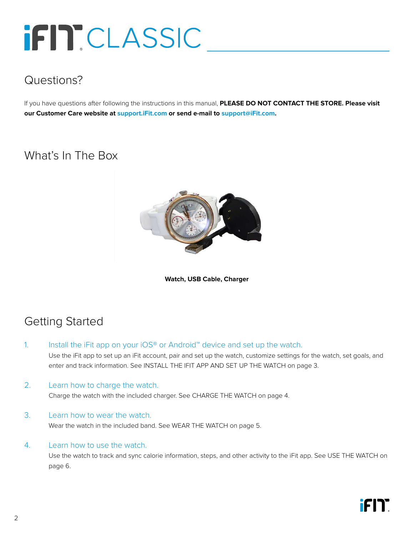## <span id="page-3-0"></span>iFIT CLASSIC

## Questions?

If you have questions after following the instructions in this manual, **PLEASE DO NOT CONTACT THE STORE. Please visit our Customer Care website at <support.iFit.com> or send e-mail to [support@iFit.com.](mailto:support@iFit.com)**

### What's In The Box



**Watch, USB Cable, Charger**

## Getting Started

1. Install the iFit app on your iOS® or Android™ device and set up the watch.

 Use the iFit app to set up an iFit account, pair and set up the watch, customize settings for the watch, set goals, and enter and track information. See [INSTALL THE IFIT APP AND SET UP THE WATCH](#page-4-1) on [page 3.](#page-4-1)

2. Learn how to charge the watch.

Charge the watch with the included charger. See [CHARGE THE WATCH](#page-5-1) on [page 4](#page-5-1).

#### 3. Learn how to wear the watch.

Wear the watch in the included band. See [WEAR THE WATCH](#page-6-1) on [page 5](#page-6-1).

#### 4. Learn how to use the watch.

 Use the watch to track and sync calorie information, steps, and other activity to the iFit app. See [USE THE WATCH](#page-7-1) on [page 6.](#page-7-1)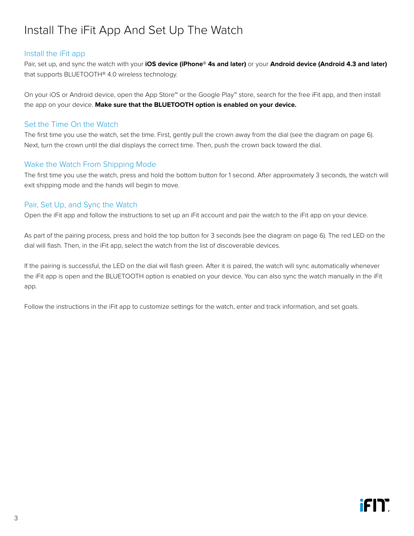## <span id="page-4-1"></span><span id="page-4-0"></span>Install The iFit App And Set Up The Watch

#### Install the iFit app

Pair, set up, and sync the watch with your **iOS device (iPhone® 4s and later)** or your **Android device (Android 4.3 and later)** that supports BLUETOOTH® 4.0 wireless technology.

On your iOS or Android device, open the App Store℠ or the Google Play™ store, search for the free iFit app, and then install the app on your device. **Make sure that the BLUETOOTH option is enabled on your device.**

#### Set the Time On the Watch

The first time you use the watch, set the time. First, gently pull the crown away from the dial (see the diagram on page 6). Next, turn the crown until the dial displays the correct time. Then, push the crown back toward the dial.

#### Wake the Watch From Shipping Mode

The first time you use the watch, press and hold the bottom button for 1 second. After approximately 3 seconds, the watch will exit shipping mode and the hands will begin to move.

#### Pair, Set Up, and Sync the Watch

Open the iFit app and follow the instructions to set up an iFit account and pair the watch to the iFit app on your device.

As part of the pairing process, press and hold the top button for 3 seconds (see the diagram on page 6). The red LED on the dial will flash. Then, in the iFit app, select the watch from the list of discoverable devices.

If the pairing is successful, the LED on the dial will flash green. After it is paired, the watch will sync automatically whenever the iFit app is open and the BLUETOOTH option is enabled on your device. You can also sync the watch manually in the iFit app.

Follow the instructions in the iFit app to customize settings for the watch, enter and track information, and set goals.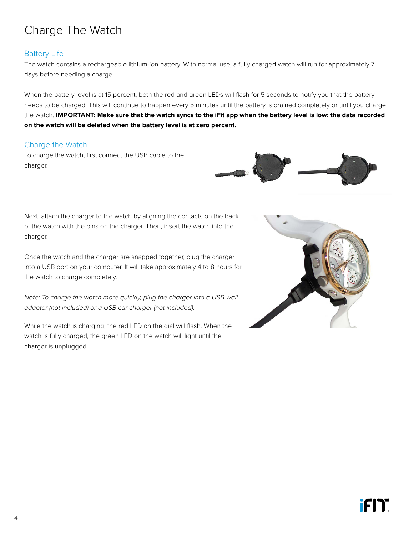## <span id="page-5-1"></span><span id="page-5-0"></span>Charge The Watch

#### Battery Life

The watch contains a rechargeable lithium-ion battery. With normal use, a fully charged watch will run for approximately 7 days before needing a charge.

When the battery level is at 15 percent, both the red and green LEDs will flash for 5 seconds to notify you that the battery needs to be charged. This will continue to happen every 5 minutes until the battery is drained completely or until you charge the watch. **IMPORTANT: Make sure that the watch syncs to the iFit app when the battery level is low; the data recorded on the watch will be deleted when the battery level is at zero percent.** 

#### Charge the Watch

To charge the watch, first connect the USB cable to the charger.



Next, attach the charger to the watch by aligning the contacts on the back of the watch with the pins on the charger. Then, insert the watch into the charger.

Once the watch and the charger are snapped together, plug the charger into a USB port on your computer. It will take approximately 4 to 8 hours for the watch to charge completely.

*Note: To charge the watch more quickly, plug the charger into a USB wall adapter (not included) or a USB car charger (not included).*

While the watch is charging, the red LED on the dial will flash. When the watch is fully charged, the green LED on the watch will light until the charger is unplugged.

![](_page_5_Picture_11.jpeg)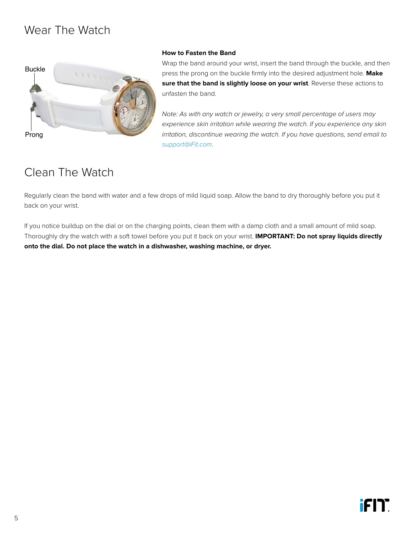## <span id="page-6-1"></span><span id="page-6-0"></span>Wear The Watch

![](_page_6_Picture_1.jpeg)

#### **How to Fasten the Band**

Wrap the band around your wrist, insert the band through the buckle, and then press the prong on the buckle firmly into the desired adjustment hole. **Make sure that the band is slightly loose on your wrist**. Reverse these actions to unfasten the band.

*Note: As with any watch or jewelry, a very small percentage of users may experience skin irritation while wearing the watch. If you experience any skin irritation, discontinue wearing the watch. If you have questions, send email to [support@iFit.com.](mailto:support@iFit.com)*

## Clean The Watch

Regularly clean the band with water and a few drops of mild liquid soap. Allow the band to dry thoroughly before you put it back on your wrist.

If you notice buildup on the dial or on the charging points, clean them with a damp cloth and a small amount of mild soap. Thoroughly dry the watch with a soft towel before you put it back on your wrist. **IMPORTANT: Do not spray liquids directly onto the dial. Do not place the watch in a dishwasher, washing machine, or dryer.**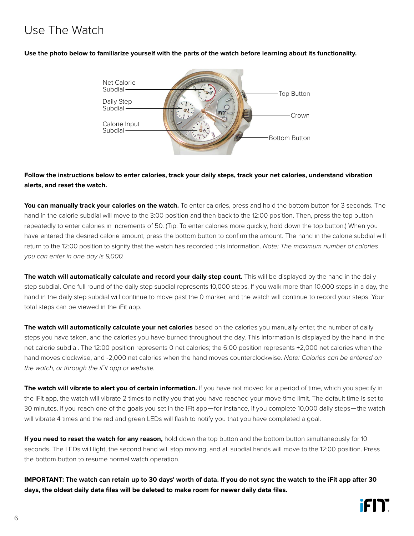## <span id="page-7-1"></span><span id="page-7-0"></span>Use The Watch

**Use the photo below to familiarize yourself with the parts of the watch before learning about its functionality.**

![](_page_7_Figure_2.jpeg)

#### **Follow the instructions below to enter calories, track your daily steps, track your net calories, understand vibration alerts, and reset the watch.**

**You can manually track your calories on the watch.** To enter calories, press and hold the bottom button for 3 seconds. The hand in the calorie subdial will move to the 3:00 position and then back to the 12:00 position. Then, press the top button repeatedly to enter calories in increments of 50. (Tip: To enter calories more quickly, hold down the top button.) When you have entered the desired calorie amount, press the bottom button to confirm the amount. The hand in the calorie subdial will return to the 12:00 position to signify that the watch has recorded this information. *Note: The maximum number of calories you can enter in one day is 9,000.*

**The watch will automatically calculate and record your daily step count.** This will be displayed by the hand in the daily step subdial. One full round of the daily step subdial represents 10,000 steps. If you walk more than 10,000 steps in a day, the hand in the daily step subdial will continue to move past the 0 marker, and the watch will continue to record your steps. Your total steps can be viewed in the iFit app.

**The watch will automatically calculate your net calories** based on the calories you manually enter, the number of daily steps you have taken, and the calories you have burned throughout the day. This information is displayed by the hand in the net calorie subdial. The 12:00 position represents 0 net calories; the 6:00 position represents +2,000 net calories when the hand moves clockwise, and -2,000 net calories when the hand moves counterclockwise. *Note: Calories can be entered on the watch, or through the iFit app or website.*

**The watch will vibrate to alert you of certain information.** If you have not moved for a period of time, which you specify in the iFit app, the watch will vibrate 2 times to notify you that you have reached your move time limit. The default time is set to 30 minutes. If you reach one of the goals you set in the iFit app—for instance, if you complete 10,000 daily steps—the watch will vibrate 4 times and the red and green LEDs will flash to notify you that you have completed a goal.

**If you need to reset the watch for any reason,** hold down the top button and the bottom button simultaneously for 10 seconds. The LEDs will light, the second hand will stop moving, and all subdial hands will move to the 12:00 position. Press the bottom button to resume normal watch operation.

**IMPORTANT: The watch can retain up to 30 days' worth of data. If you do not sync the watch to the iFit app after 30 days, the oldest daily data files will be deleted to make room for newer daily data files.**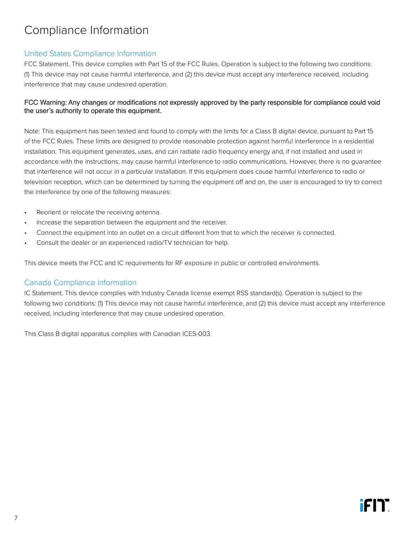## <span id="page-8-0"></span>Compliance Information

#### United States Compliance Information

FCC Statement. This device complies with Part 15 of the FCC Rules. Operation is subject to the following two conditions: (1) This device may not cause harmful interference, and (2) this device must accept any interference received, including interference that may cause undesired operation.

#### FCC Warning: Any changes or modifications not expressly approved by the party responsible for compliance could void the user's authority to operate this equipment.

Note: This equipment has been tested and found to comply with the limits for a Class B digital device, pursuant to Part 15 of the FCC Rules. These limits are designed to provide reasonable protection against harmful interference in a residential installation. This equipment generates, uses, and can radiate radio frequency energy and, if not installed and used in accordance with the instructions, may cause harmful interference to radio communications. However, there is no guarantee that interference will not occur in a particular installation. If this equipment does cause harmful interference to radio or television reception, which can be determined by turning the equipment off and on, the user is encouraged to try to correct the interference by one of the following measures:

- Reorient or relocate the receiving antenna.
- Increase the separation between the equipment and the receiver.
- Connect the equipment into an outlet on a circuit different from that to which the receiver is connected.
- Consult the dealer or an experienced radio/TV technician for help.

This device meets the FCC and IC requirements for RF exposure in public or controlled environments.

#### Canada Compliance Information

IC Statement. This device complies with Industry Canada license exempt RSS standard(s). Operation is subject to the following two conditions: (1) This device may not cause harmful interference, and (2) this device must accept any interference received, including interference that may cause undesired operation.

This Class B digital apparatus complies with Canadian ICES-003.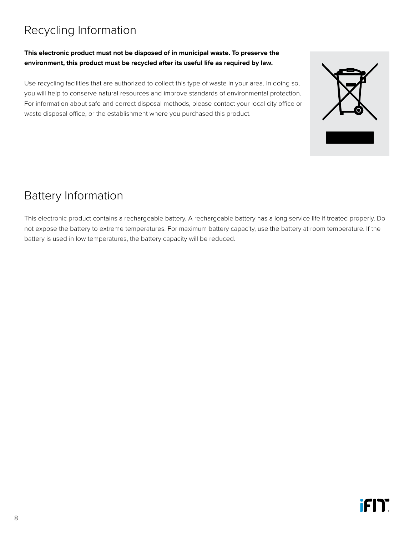## <span id="page-9-0"></span>Recycling Information

#### **This electronic product must not be disposed of in municipal waste. To preserve the environment, this product must be recycled after its useful life as required by law.**

Use recycling facilities that are authorized to collect this type of waste in your area. In doing so, you will help to conserve natural resources and improve standards of environmental protection. For information about safe and correct disposal methods, please contact your local city office or waste disposal office, or the establishment where you purchased this product.

## Battery Information

This electronic product contains a rechargeable battery. A rechargeable battery has a long service life if treated properly. Do not expose the battery to extreme temperatures. For maximum battery capacity, use the battery at room temperature. If the battery is used in low temperatures, the battery capacity will be reduced.

![](_page_9_Picture_6.jpeg)